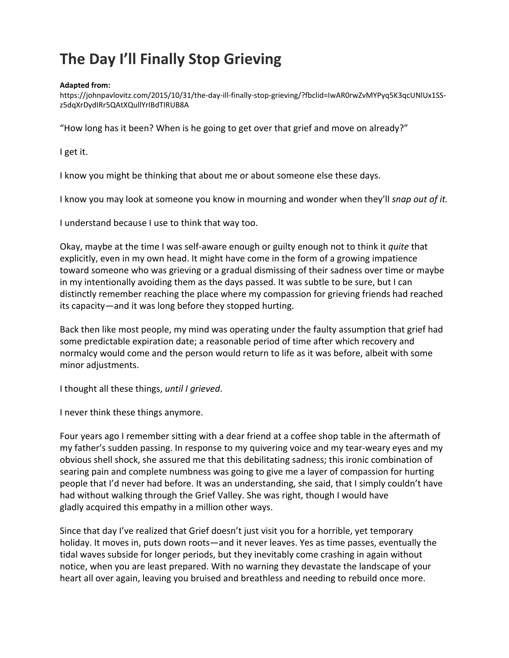## **The Day I'll Finally Stop Grieving**

## **Adapted from:**

[https://johnpavlovitz.com/2015/10/31/the-day-ill-finally-stop-grieving/?fbclid=IwAR0rwZvMYPyq5K3qcUNlUx1SS](https://johnpavlovitz.com/2015/10/31/the-day-ill-finally-stop-grieving/?fbclid=IwAR0rwZvMYPyq5K3qcUNlUx1SS-z5dqXrDydIRr5QAtXQullYrIBdTIRUB8A)[z5dqXrDydIRr5QAtXQullYrIBdTIRUB8A](https://johnpavlovitz.com/2015/10/31/the-day-ill-finally-stop-grieving/?fbclid=IwAR0rwZvMYPyq5K3qcUNlUx1SS-z5dqXrDydIRr5QAtXQullYrIBdTIRUB8A)

"How long has it been? When is he going to get over that grief and move on already?"

I get it.

I know you might be thinking that about me or about someone else these days.

I know you may look at someone you know in mourning and wonder when they'll *snap out of it.*

I understand because I use to think that way too.

Okay, maybe at the time I was self-aware enough or guilty enough not to think it *quite* that explicitly, even in my own head. It might have come in the form of a growing impatience toward someone who was grieving or a gradual dismissing of their sadness over time or maybe in my intentionally avoiding them as the days passed. It was subtle to be sure, but I can distinctly remember reaching the place where my compassion for grieving friends had reached its capacity—and it was long before they stopped hurting.

Back then like most people, my mind was operating under the faulty assumption that grief had some predictable expiration date; a reasonable period of time after which recovery and normalcy would come and the person would return to life as it was before, albeit with some minor adjustments.

I thought all these things, *until I grieved*.

I never think these things anymore.

Four years ago I remember sitting with a dear friend at a coffee shop table in the aftermath of my father's sudden passing. In response to my quivering voice and my tear-weary eyes and my obvious shell shock, she assured me that this debilitating sadness; this ironic combination of searing pain and complete numbness was going to give me a layer of compassion for hurting people that I'd never had before. It was an understanding, she said, that I simply couldn't have had without walking through the Grief Valley. She was right, though I would have gladly acquired this empathy in a million other ways.

Since that day I've realized that Grief doesn't just visit you for a horrible, yet temporary holiday. It moves in, puts down roots—and it never leaves. Yes as time passes, eventually the tidal waves subside for longer periods, but they inevitably come crashing in again without notice, when you are least prepared. With no warning they devastate the landscape of your heart all over again, leaving you bruised and breathless and needing to rebuild once more.